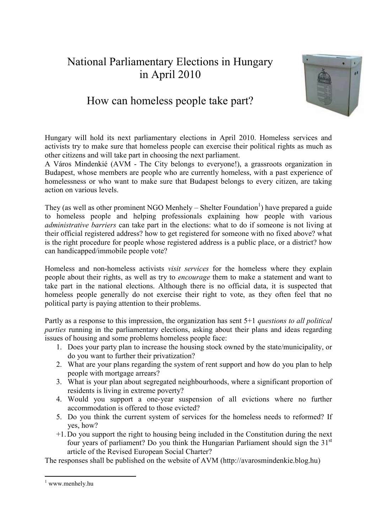## National Parliamentary Elections in Hungary in April 2010



## How can homeless people take part?

Hungary will hold its next parliamentary elections in April 2010. Homeless services and activists try to make sure that homeless people can exercise their political rights as much as other citizens and will take part in choosing the next parliament.

A Város Mindenkié (AVM - The City belongs to everyone!), a grassroots organization in Budapest, whose members are people who are currently homeless, with a past experience of homelessness or who want to make sure that Budapest belongs to every citizen, are taking action on various levels.

They (as well as other prominent NGO Menhely  $-$  Shelter Foundation<sup>1</sup>) have prepared a guide to homeless people and helping professionals explaining how people with various *administrative barriers* can take part in the elections: what to do if someone is not living at their official registered address? how to get registered for someone with no fixed above? what is the right procedure for people whose registered address is a public place, or a district? how can handicapped/immobile people vote?

Homeless and non-homeless activists *visit services* for the homeless where they explain people about their rights, as well as try to *encourage* them to make a statement and want to take part in the national elections. Although there is no official data, it is suspected that homeless people generally do not exercise their right to vote, as they often feel that no political party is paying attention to their problems.

Partly as a response to this impression, the organization has sent 5+1 *questions to all political parties* running in the parliamentary elections, asking about their plans and ideas regarding issues of housing and some problems homeless people face:

- 1. Does your party plan to increase the housing stock owned by the state/municipality, or do you want to further their privatization?
- 2. What are your plans regarding the system of rent support and how do you plan to help people with mortgage arrears?
- 3. What is your plan about segregated neighbourhoods, where a significant proportion of residents is living in extreme poverty?
- 4. Would you support a one-year suspension of all evictions where no further accommodation is offered to those evicted?
- 5. Do you think the current system of services for the homeless needs to reformed? If yes, how?
- +1. Do you support the right to housing being included in the Constitution during the next four years of parliament? Do you think the Hungarian Parliament should sign the 31st article of the Revised European Social Charter?

The responses shall be published on the website of AVM (http://avarosmindenkie.blog.hu)

<sup>-</sup>1 www.menhely.hu